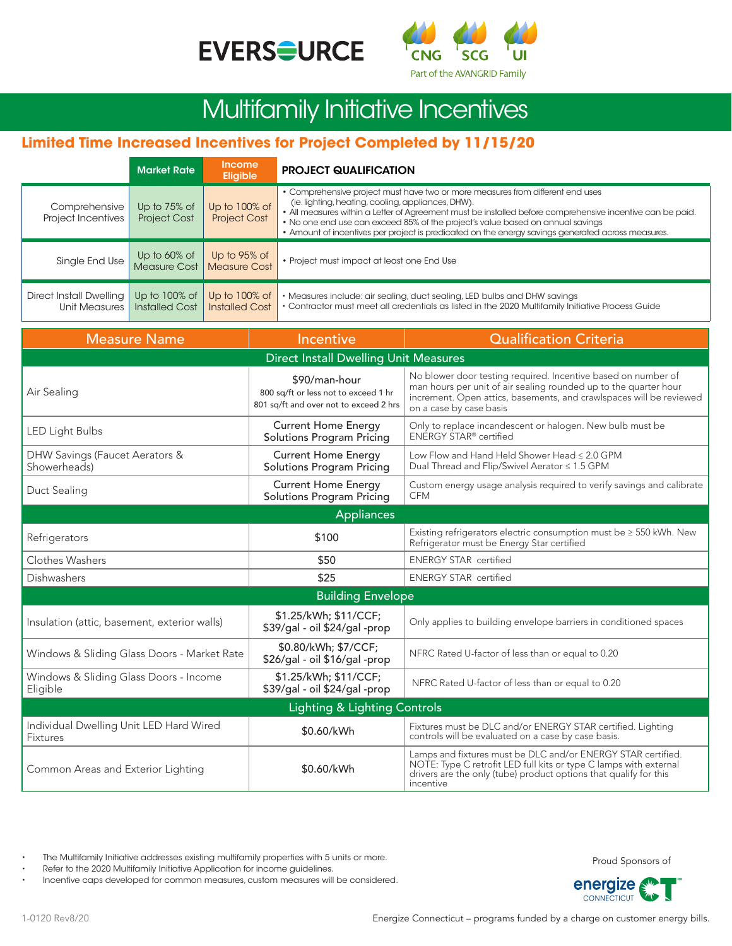



## Multifamily Initiative Incentives

## **Limited Time Increased Incentives for Project Completed by 11/15/20**

|                                            | <b>Market Rate</b>                                    | <b>Income</b><br><b>Eligible</b>       | <b>PROJECT QUALIFICATION</b>                                                                                                                                                                                                                                                                                                                                                                                                             |
|--------------------------------------------|-------------------------------------------------------|----------------------------------------|------------------------------------------------------------------------------------------------------------------------------------------------------------------------------------------------------------------------------------------------------------------------------------------------------------------------------------------------------------------------------------------------------------------------------------------|
| Comprehensive<br>Project Incentives        | Up to 75% of<br><b>Project Cost</b>                   | Up to 100% of<br><b>Project Cost</b>   | • Comprehensive project must have two or more measures from different end uses<br>(ie. lighting, heating, cooling, appliances, DHW).<br>• All measures within a Letter of Agreement must be installed before comprehensive incentive can be paid.<br>• No one end use can exceed 85% of the project's value based on annual savings<br>• Amount of incentives per project is predicated on the energy savings generated across measures. |
| Single End Use                             | Up to 60% of<br>Measure Cost                          | Up to 95% of<br>Measure Cost           | • Project must impact at least one End Use                                                                                                                                                                                                                                                                                                                                                                                               |
| Direct Install Dwelling<br>Unit Measures I | Up to $100\%$ of $\parallel$<br><b>Installed Cost</b> | Up to 100% of<br><b>Installed Cost</b> | • Measures include: air sealing, duct sealing, LED bulbs and DHW savings<br>• Contractor must meet all credentials as listed in the 2020 Multifamily Initiative Process Guide                                                                                                                                                                                                                                                            |

| <b>Measure Name</b>                                 | Incentive                                                                                       | <b>Qualification Criteria</b>                                                                                                                                                                                                       |  |  |  |  |
|-----------------------------------------------------|-------------------------------------------------------------------------------------------------|-------------------------------------------------------------------------------------------------------------------------------------------------------------------------------------------------------------------------------------|--|--|--|--|
| <b>Direct Install Dwelling Unit Measures</b>        |                                                                                                 |                                                                                                                                                                                                                                     |  |  |  |  |
| Air Sealing                                         | \$90/man-hour<br>800 sq/ft or less not to exceed 1 hr<br>801 sq/ft and over not to exceed 2 hrs | No blower door testing required. Incentive based on number of<br>man hours per unit of air sealing rounded up to the quarter hour<br>increment. Open attics, basements, and crawlspaces will be reviewed<br>on a case by case basis |  |  |  |  |
| <b>LED Light Bulbs</b>                              | <b>Current Home Energy</b><br>Solutions Program Pricing                                         | Only to replace incandescent or halogen. New bulb must be<br>ENERGY STAR® certified                                                                                                                                                 |  |  |  |  |
| DHW Savings (Faucet Aerators &<br>Showerheads)      | <b>Current Home Energy</b><br>Solutions Program Pricing                                         | Low Flow and Hand Held Shower Head ≤ 2.0 GPM<br>Dual Thread and Flip/Swivel Aerator ≤ 1.5 GPM                                                                                                                                       |  |  |  |  |
| Duct Sealing                                        | <b>Current Home Energy</b><br><b>Solutions Program Pricing</b>                                  | Custom energy usage analysis required to verify savings and calibrate<br><b>CFM</b>                                                                                                                                                 |  |  |  |  |
| Appliances                                          |                                                                                                 |                                                                                                                                                                                                                                     |  |  |  |  |
| Refrigerators                                       | \$100                                                                                           | Existing refrigerators electric consumption must be ≥ 550 kWh. New<br>Refrigerator must be Energy Star certified                                                                                                                    |  |  |  |  |
| <b>Clothes Washers</b>                              | \$50                                                                                            | <b>ENERGY STAR</b> certified                                                                                                                                                                                                        |  |  |  |  |
| Dishwashers                                         | \$25                                                                                            | <b>ENERGY STAR</b> certified                                                                                                                                                                                                        |  |  |  |  |
| <b>Building Envelope</b>                            |                                                                                                 |                                                                                                                                                                                                                                     |  |  |  |  |
| Insulation (attic, basement, exterior walls)        | \$1.25/kWh; \$11/CCF;<br>\$39/gal - oil \$24/gal -prop                                          | Only applies to building envelope barriers in conditioned spaces                                                                                                                                                                    |  |  |  |  |
| Windows & Sliding Glass Doors - Market Rate         | \$0.80/kWh; \$7/CCF;<br>\$26/gal - oil \$16/gal -prop                                           | NFRC Rated U-factor of less than or equal to 0.20                                                                                                                                                                                   |  |  |  |  |
| Windows & Sliding Glass Doors - Income<br>Eligible  | \$1.25/kWh; \$11/CCF;<br>\$39/gal - oil \$24/gal -prop                                          | NFRC Rated U-factor of less than or equal to 0.20                                                                                                                                                                                   |  |  |  |  |
| <b>Lighting &amp; Lighting Controls</b>             |                                                                                                 |                                                                                                                                                                                                                                     |  |  |  |  |
| Individual Dwelling Unit LED Hard Wired<br>Fixtures | \$0.60/kWh                                                                                      | Fixtures must be DLC and/or ENERGY STAR certified. Lighting<br>controls will be evaluated on a case by case basis.                                                                                                                  |  |  |  |  |
| Common Areas and Exterior Lighting                  | \$0.60/kWh                                                                                      | Lamps and fixtures must be DLC and/or ENERGY STAR certified.<br>NOTE: Type C retrofit LED full kits or type C lamps with external<br>drivers are the only (tube) product options that qualify for this<br>incentive                 |  |  |  |  |

• The Multifamily Initiative addresses existing multifamily properties with 5 units or more.

Refer to the 2020 Multifamily Initiative Application for income guidelines.

• Incentive caps developed for common measures, custom measures will be considered.

Proud Sponsors of